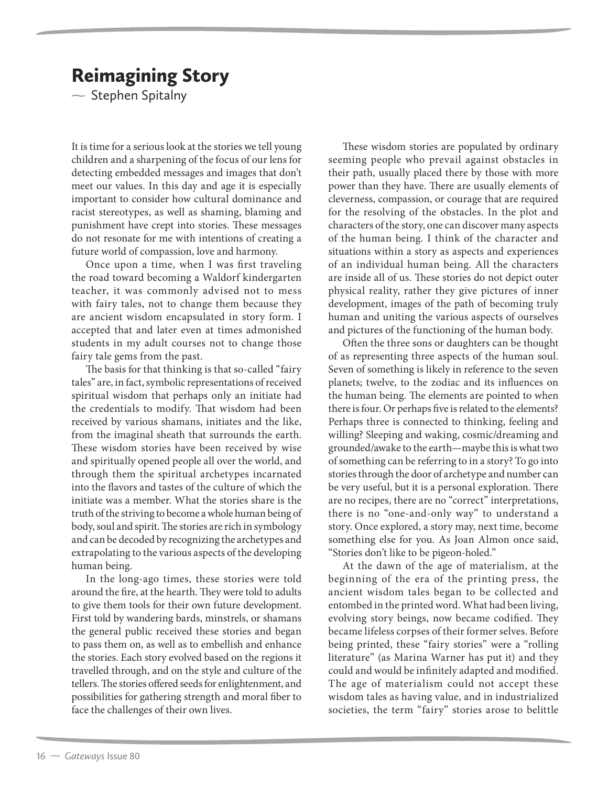$\sim$  Stephen Spitalny

It is time for a serious look at the stories we tell young children and a sharpening of the focus of our lens for detecting embedded messages and images that don't meet our values. In this day and age it is especially important to consider how cultural dominance and racist stereotypes, as well as shaming, blaming and punishment have crept into stories. These messages do not resonate for me with intentions of creating a future world of compassion, love and harmony.

Once upon a time, when I was first traveling the road toward becoming a Waldorf kindergarten teacher, it was commonly advised not to mess with fairy tales, not to change them because they are ancient wisdom encapsulated in story form. I accepted that and later even at times admonished students in my adult courses not to change those fairy tale gems from the past.

The basis for that thinking is that so-called "fairy tales" are, in fact, symbolic representations of received spiritual wisdom that perhaps only an initiate had the credentials to modify. That wisdom had been received by various shamans, initiates and the like, from the imaginal sheath that surrounds the earth. These wisdom stories have been received by wise and spiritually opened people all over the world, and through them the spiritual archetypes incarnated into the flavors and tastes of the culture of which the initiate was a member. What the stories share is the truth of the striving to become a whole human being of body, soul and spirit. The stories are rich in symbology and can be decoded by recognizing the archetypes and extrapolating to the various aspects of the developing human being.

In the long-ago times, these stories were told around the fire, at the hearth. They were told to adults to give them tools for their own future development. First told by wandering bards, minstrels, or shamans the general public received these stories and began to pass them on, as well as to embellish and enhance the stories. Each story evolved based on the regions it travelled through, and on the style and culture of the tellers. The stories offered seeds for enlightenment, and possibilities for gathering strength and moral fiber to face the challenges of their own lives.

These wisdom stories are populated by ordinary seeming people who prevail against obstacles in their path, usually placed there by those with more power than they have. There are usually elements of cleverness, compassion, or courage that are required for the resolving of the obstacles. In the plot and characters of the story, one can discover many aspects of the human being. I think of the character and situations within a story as aspects and experiences of an individual human being. All the characters are inside all of us. These stories do not depict outer physical reality, rather they give pictures of inner development, images of the path of becoming truly human and uniting the various aspects of ourselves and pictures of the functioning of the human body.

Often the three sons or daughters can be thought of as representing three aspects of the human soul. Seven of something is likely in reference to the seven planets; twelve, to the zodiac and its influences on the human being. The elements are pointed to when there is four. Or perhaps five is related to the elements? Perhaps three is connected to thinking, feeling and willing? Sleeping and waking, cosmic/dreaming and grounded/awake to the earth—maybe this is what two of something can be referring to in a story? To go into stories through the door of archetype and number can be very useful, but it is a personal exploration. There are no recipes, there are no "correct" interpretations, there is no "one-and-only way" to understand a story. Once explored, a story may, next time, become something else for you. As Joan Almon once said, "Stories don't like to be pigeon-holed."

At the dawn of the age of materialism, at the beginning of the era of the printing press, the ancient wisdom tales began to be collected and entombed in the printed word. What had been living, evolving story beings, now became codified. They became lifeless corpses of their former selves. Before being printed, these "fairy stories" were a "rolling literature" (as Marina Warner has put it) and they could and would be infinitely adapted and modified. The age of materialism could not accept these wisdom tales as having value, and in industrialized societies, the term "fairy" stories arose to belittle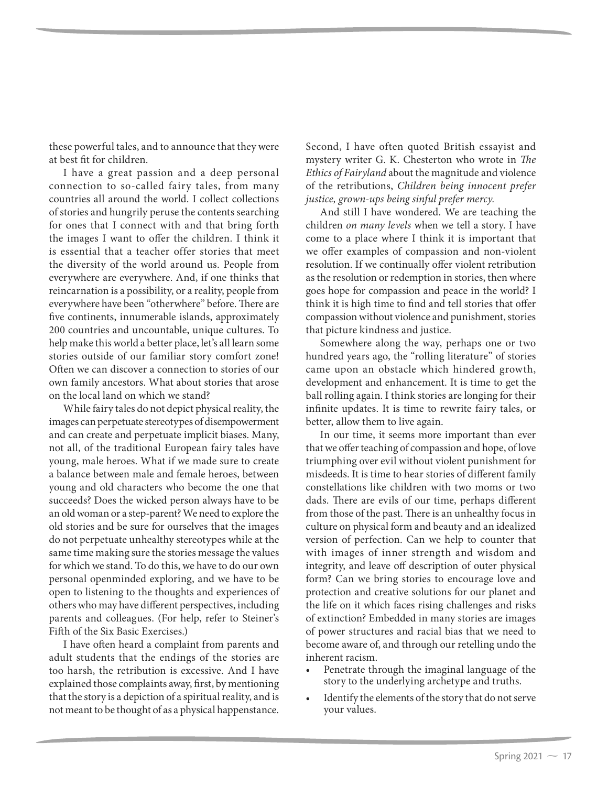these powerful tales, and to announce that they were at best fit for children.

I have a great passion and a deep personal connection to so-called fairy tales, from many countries all around the world. I collect collections of stories and hungrily peruse the contents searching for ones that I connect with and that bring forth the images I want to offer the children. I think it is essential that a teacher offer stories that meet the diversity of the world around us. People from everywhere are everywhere. And, if one thinks that reincarnation is a possibility, or a reality, people from everywhere have been "otherwhere" before. There are five continents, innumerable islands, approximately 200 countries and uncountable, unique cultures. To help make this world a better place, let's all learn some stories outside of our familiar story comfort zone! Often we can discover a connection to stories of our own family ancestors. What about stories that arose on the local land on which we stand?

While fairy tales do not depict physical reality, the images can perpetuate stereotypes of disempowerment and can create and perpetuate implicit biases. Many, not all, of the traditional European fairy tales have young, male heroes. What if we made sure to create a balance between male and female heroes, between young and old characters who become the one that succeeds? Does the wicked person always have to be an old woman or a step-parent? We need to explore the old stories and be sure for ourselves that the images do not perpetuate unhealthy stereotypes while at the same time making sure the stories message the values for which we stand. To do this, we have to do our own personal openminded exploring, and we have to be open to listening to the thoughts and experiences of others who may have different perspectives, including parents and colleagues. (For help, refer to Steiner's Fifth of the Six Basic Exercises.)

I have often heard a complaint from parents and adult students that the endings of the stories are too harsh, the retribution is excessive. And I have explained those complaints away, first, by mentioning that the story is a depiction of a spiritual reality, and is not meant to be thought of as a physical happenstance.

Second, I have often quoted British essayist and mystery writer G. K. Chesterton who wrote in *The Ethics of Fairyland* about the magnitude and violence of the retributions, *Children being innocent prefer justice, grown-ups being sinful prefer mercy.*

And still I have wondered. We are teaching the children *on many levels* when we tell a story. I have come to a place where I think it is important that we offer examples of compassion and non-violent resolution. If we continually offer violent retribution as the resolution or redemption in stories, then where goes hope for compassion and peace in the world? I think it is high time to find and tell stories that offer compassion without violence and punishment, stories that picture kindness and justice.

Somewhere along the way, perhaps one or two hundred years ago, the "rolling literature" of stories came upon an obstacle which hindered growth, development and enhancement. It is time to get the ball rolling again. I think stories are longing for their infinite updates. It is time to rewrite fairy tales, or better, allow them to live again.

In our time, it seems more important than ever that we offer teaching of compassion and hope, of love triumphing over evil without violent punishment for misdeeds. It is time to hear stories of different family constellations like children with two moms or two dads. There are evils of our time, perhaps different from those of the past. There is an unhealthy focus in culture on physical form and beauty and an idealized version of perfection. Can we help to counter that with images of inner strength and wisdom and integrity, and leave off description of outer physical form? Can we bring stories to encourage love and protection and creative solutions for our planet and the life on it which faces rising challenges and risks of extinction? Embedded in many stories are images of power structures and racial bias that we need to become aware of, and through our retelling undo the inherent racism.

- Penetrate through the imaginal language of the story to the underlying archetype and truths.
- Identify the elements of the story that do not serve your values.